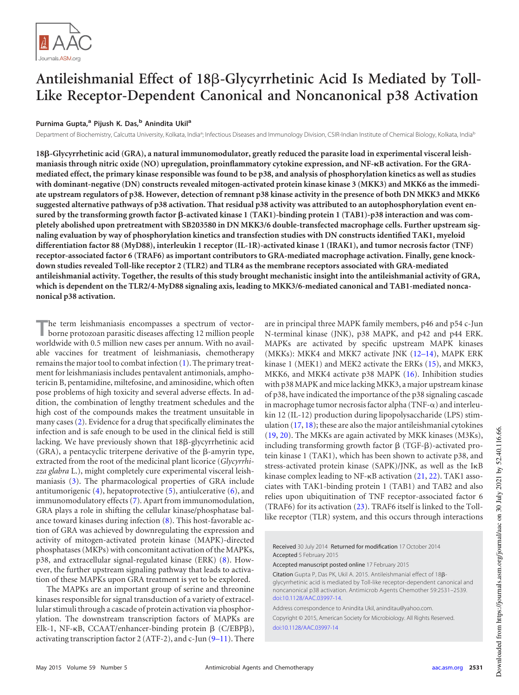

# Antileishmanial Effect of 18ß-Glycyrrhetinic Acid Is Mediated by Toll-**Like Receptor-Dependent Canonical and Noncanonical p38 Activation**

# **Purnima Gupta,<sup>a</sup> Pijush K. Das,<sup>b</sup> Anindita Ukil<sup>a</sup>**

Department of Biochemistry, Calcutta University, Kolkata, India<sup>a</sup>; Infectious Diseases and Immunology Division, CSIR-Indian Institute of Chemical Biology, Kolkata, India<sup>b</sup>

**18**-**-Glycyrrhetinic acid (GRA), a natural immunomodulator, greatly reduced the parasite load in experimental visceral leishmaniasis through nitric oxide (NO) upregulation, proinflammatory cytokine expression, and NF-B activation. For the GRAmediated effect, the primary kinase responsible was found to be p38, and analysis of phosphorylation kinetics as well as studies with dominant-negative (DN) constructs revealed mitogen-activated protein kinase kinase 3 (MKK3) and MKK6 as the immediate upstream regulators of p38. However, detection of remnant p38 kinase activity in the presence of both DN MKK3 and MKK6 suggested alternative pathways of p38 activation. That residual p38 activity was attributed to an autophosphorylation event en**sured by the transforming growth factor β-activated kinase 1 (TAK1)-binding protein 1 (TAB1)-p38 interaction and was com**pletely abolished upon pretreatment with SB203580 in DN MKK3/6 double-transfected macrophage cells. Further upstream signaling evaluation by way of phosphorylation kinetics and transfection studies with DN constructs identified TAK1, myeloid differentiation factor 88 (MyD88), interleukin 1 receptor (IL-1R)-activated kinase 1 (IRAK1), and tumor necrosis factor (TNF) receptor-associated factor 6 (TRAF6) as important contributors to GRA-mediated macrophage activation. Finally, gene knockdown studies revealed Toll-like receptor 2 (TLR2) and TLR4 as the membrane receptors associated with GRA-mediated antileishmanial activity. Together, the results of this study brought mechanistic insight into the antileishmanial activity of GRA, which is dependent on the TLR2/4-MyD88 signaling axis, leading to MKK3/6-mediated canonical and TAB1-mediated noncanonical p38 activation.**

The term leishmaniasis encompasses a spectrum of vector-<br>borne protozoan parasitic diseases affecting 12 million people<br>worldwide with 0.5 million new cases per annum. With no availhe term leishmaniasis encompasses a spectrum of vectorborne protozoan parasitic diseases affecting 12 million people able vaccines for treatment of leishmaniasis, chemotherapy remains the major tool to combat infection [\(1\)](#page-6-0). The primary treatment for leishmaniasis includes pentavalent antimonials, amphotericin B, pentamidine, miltefosine, and aminosidine, which often pose problems of high toxicity and several adverse effects. In addition, the combination of lengthy treatment schedules and the high cost of the compounds makes the treatment unsuitable in many cases [\(2\)](#page-6-1). Evidence for a drug that specifically eliminates the infection and is safe enough to be used in the clinical field is still lacking. We have previously shown that 18ß-glycyrrhetinic acid  $(GRA)$ , a pentacyclic triterpene derivative of the  $\beta$ -amyrin type, extracted from the root of the medicinal plant licorice (*Glycyrrhizza glabra* L.), might completely cure experimental visceral leishmaniasis [\(3\)](#page-6-2). The pharmacological properties of GRA include antitumorigenic  $(4)$ , hepatoprotective  $(5)$ , antiulcerative  $(6)$ , and immunomodulatory effects [\(7\)](#page-6-6). Apart from immunomodulation, GRA plays a role in shifting the cellular kinase/phosphatase balance toward kinases during infection [\(8\)](#page-6-7). This host-favorable action of GRA was achieved by downregulating the expression and activity of mitogen-activated protein kinase (MAPK)-directed phosphatases (MKPs) with concomitant activation of the MAPKs, p38, and extracellular signal-regulated kinase (ERK) [\(8\)](#page-6-7). However, the further upstream signaling pathway that leads to activation of these MAPKs upon GRA treatment is yet to be explored.

The MAPKs are an important group of serine and threonine kinases responsible for signal transduction of a variety of extracellular stimuli through a cascade of protein activation via phosphorylation. The downstream transcription factors of MAPKs are Elk-1, NF-κB, CCAAT/enhancer-binding protein β (C/EBPβ), activating transcription factor 2 (ATF-2), and c-Jun [\(9](#page-6-8)[–](#page-6-9)[11\)](#page-6-10). There are in principal three MAPK family members, p46 and p54 c-Jun N-terminal kinase (JNK), p38 MAPK, and p42 and p44 ERK. MAPKs are activated by specific upstream MAPK kinases (MKKs): MKK4 and MKK7 activate JNK [\(12](#page-6-11)[–](#page-7-0)[14\)](#page-7-1), MAPK ERK kinase 1 (MEK1) and MEK2 activate the ERKs [\(15\)](#page-7-2), and MKK3, MKK6, and MKK4 activate p38 MAPK [\(16\)](#page-7-3). Inhibition studies with p38 MAPK and mice lacking MKK3, a major upstream kinase of p38, have indicated the importance of the p38 signaling cascade in macrophage tumor necrosis factor alpha (TNF- $\alpha$ ) and interleukin 12 (IL-12) production during lipopolysaccharide (LPS) stimulation [\(17,](#page-7-4) [18\)](#page-7-5); these are also the major antileishmanial cytokines [\(19,](#page-7-6) [20\)](#page-7-7). The MKKs are again activated by MKK kinases (M3Ks), including transforming growth factor  $\beta$  (TGF- $\beta$ )-activated protein kinase 1 (TAK1), which has been shown to activate p38, and stress-activated protein kinase (SAPK)/JNK, as well as the IKB kinase complex leading to NF-KB activation [\(21,](#page-7-8) [22\)](#page-7-9). TAK1 associates with TAK1-binding protein 1 (TAB1) and TAB2 and also relies upon ubiquitination of TNF receptor-associated factor 6 (TRAF6) for its activation [\(23\)](#page-7-10). TRAF6 itself is linked to the Tolllike receptor (TLR) system, and this occurs through interactions

Received 30 July 2014 Returned for modification 17 October 2014 Accepted 5 February 2015

Accepted manuscript posted online 17 February 2015

Citation Gupta P, Das PK, Ukil A. 2015. Antileishmanial effect of 188glycyrrhetinic acid is mediated by Toll-like receptor-dependent canonical and noncanonical p38 activation. Antimicrob Agents Chemother 59:2531–2539. doi:10.1128/AAC.03997-14.

Address correspondence to Anindita Ukil, aninditau@yahoo.com. Copyright © 2015, American Society for Microbiology. All Rights Reserved. doi:10.1128/AAC.03997-14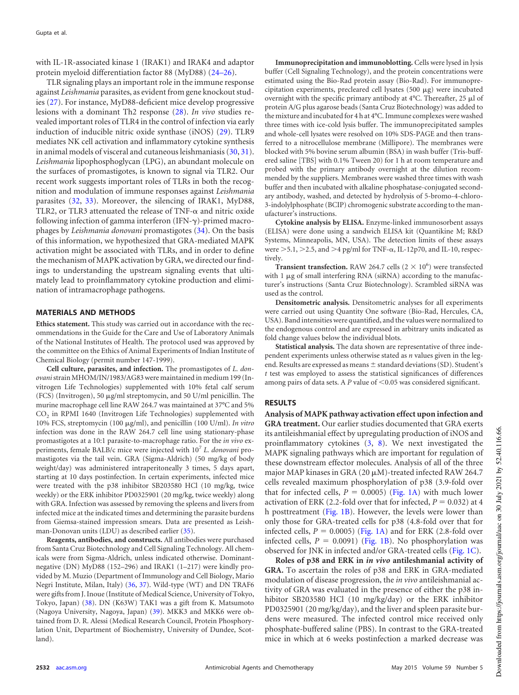with IL-1R-associated kinase 1 (IRAK1) and IRAK4 and adaptor protein myeloid differentiation factor 88 (MyD88) [\(24](#page-7-11)[–](#page-7-12)[26\)](#page-7-13).

TLR signaling plays an important role in the immune response against *Leishmania* parasites, as evident from gene knockout studies [\(27\)](#page-7-14). For instance, MyD88-deficient mice develop progressive lesions with a dominant Th2 response [\(28\)](#page-7-15). *In vivo* studies revealed important roles of TLR4 in the control of infection via early induction of inducible nitric oxide synthase (iNOS) [\(29\)](#page-7-16). TLR9 mediates NK cell activation and inflammatory cytokine synthesis in animal models of visceral and cutaneous leishmaniasis [\(30,](#page-7-17) [31\)](#page-7-18). *Leishmania* lipophosphoglycan (LPG), an abundant molecule on the surfaces of promastigotes, is known to signal via TLR2. Our recent work suggests important roles of TLRs in both the recognition and modulation of immune responses against *Leishmania* parasites [\(32,](#page-7-19) [33\)](#page-7-20). Moreover, the silencing of IRAK1, MyD88, TLR2, or TLR3 attenuated the release of TNF- $\alpha$  and nitric oxide following infection of gamma interferon (IFN- $\gamma$ )-primed macrophages by *Leishmania donovani* promastigotes [\(34\)](#page-7-21). On the basis of this information, we hypothesized that GRA-mediated MAPK activation might be associated with TLRs, and in order to define the mechanism of MAPK activation by GRA, we directed our findings to understanding the upstream signaling events that ultimately lead to proinflammatory cytokine production and elimination of intramacrophage pathogens.

#### **MATERIALS AND METHODS**

**Ethics statement.** This study was carried out in accordance with the recommendations in the Guide for the Care and Use of Laboratory Animals of the National Institutes of Health. The protocol used was approved by the committee on the Ethics of Animal Experiments of Indian Institute of Chemical Biology (permit number 147-1999).

**Cell culture, parasites, and infection.** The promastigotes of *L. donovani*strain MHOM/IN/1983/AG83 were maintained in medium 199 (Invitrogen Life Technologies) supplemented with 10% fetal calf serum (FCS) (Invitrogen), 50  $\mu$ g/ml streptomycin, and 50 U/ml penicillin. The murine macrophage cell line RAW 264.7 was maintained at 37°C and 5% CO<sup>2</sup> in RPMI 1640 (Invitrogen Life Technologies) supplemented with 10% FCS, streptomycin (100 g/ml), and penicillin (100 U/ml). *In vitro* infection was done in the RAW 264.7 cell line using stationary-phase promastigotes at a 10:1 parasite-to-macrophage ratio. For the *in vivo* experiments, female BALB/c mice were injected with 10<sup>7</sup> *L. donovani* promastigotes via the tail vein. GRA (Sigma-Aldrich) (50 mg/kg of body weight/day) was administered intraperitoneally 3 times, 5 days apart, starting at 10 days postinfection. In certain experiments, infected mice were treated with the p38 inhibitor SB203580 HCl (10 mg/kg, twice weekly) or the ERK inhibitor PD0325901 (20 mg/kg, twice weekly) along with GRA. Infection was assessed by removing the spleens and livers from infected mice at the indicated times and determining the parasite burdens from Giemsa-stained impression smears. Data are presented as Leishman-Donovan units (LDU) as described earlier [\(35\)](#page-7-22).

**Reagents, antibodies, and constructs.** All antibodies were purchased from Santa Cruz Biotechnology and Cell Signaling Technology. All chemicals were from Sigma-Aldrich, unless indicated otherwise. Dominantnegative (DN) MyD88 (152–296) and IRAK1 (1–217) were kindly provided by M. Muzio (Department of Immunology and Cell Biology, Mario Negri Institute, Milan, Italy) [\(36,](#page-7-23) [37\)](#page-7-24). Wild-type (WT) and DN TRAF6 were gifts from J. Inoue (Institute of Medical Science, University of Tokyo, Tokyo, Japan) [\(38\)](#page-7-25). DN (K63W) TAK1 was a gift from K. Matsumoto (Nagoya University, Nagoya, Japan) [\(39\)](#page-7-26). MKK3 and MKK6 were obtained from D. R. Alessi (Medical Research Council, Protein Phosphorylation Unit, Department of Biochemistry, University of Dundee, Scotland).

**Immunoprecipitation and immunoblotting.** Cells were lysed in lysis buffer (Cell Signaling Technology), and the protein concentrations were estimated using the Bio-Rad protein assay (Bio-Rad). For immunoprecipitation experiments, precleared cell lysates  $(500 \mu g)$  were incubated overnight with the specific primary antibody at  $4^{\circ}$ C. Thereafter, 25  $\mu$ l of protein A/G plus agarose beads (Santa Cruz Biotechnology) was added to the mixture and incubated for 4 h at 4°C. Immune complexes were washed three times with ice-cold lysis buffer. The immunoprecipitated samples and whole-cell lysates were resolved on 10% SDS-PAGE and then transferred to a nitrocellulose membrane (Millipore). The membranes were blocked with 5% bovine serum albumin (BSA) in wash buffer (Tris-buffered saline [TBS] with 0.1% Tween 20) for 1 h at room temperature and probed with the primary antibody overnight at the dilution recommended by the suppliers. Membranes were washed three times with wash buffer and then incubated with alkaline phosphatase-conjugated secondary antibody, washed, and detected by hydrolysis of 5-bromo-4-chloro-3-indolylphosphate (BCIP) chromogenic substrate according to the manufacturer's instructions.

**Cytokine analysis by ELISA.** Enzyme-linked immunosorbent assays (ELISA) were done using a sandwich ELISA kit (Quantikine M; R&D Systems, Minneapolis, MN, USA). The detection limits of these assays were  $>$  5.1,  $>$  2.5, and  $>$  4 pg/ml for TNF- $\alpha$ , IL-12p70, and IL-10, respectively.

**Transient transfection.** RAW 264.7 cells  $(2 \times 10^6)$  were transfected with  $1 \mu$ g of small interfering RNA (siRNA) according to the manufacturer's instructions (Santa Cruz Biotechnology). Scrambled siRNA was used as the control.

**Densitometric analysis.** Densitometric analyses for all experiments were carried out using Quantity One software (Bio-Rad, Hercules, CA, USA). Band intensities were quantified, and the values were normalized to the endogenous control and are expressed in arbitrary units indicated as fold change values below the individual blots.

**Statistical analysis.** The data shown are representative of three independent experiments unless otherwise stated as *n* values given in the legend. Results are expressed as means  $\pm$  standard deviations (SD). Student's *t* test was employed to assess the statistical significances of differences among pairs of data sets. A *P* value of 0.05 was considered significant.

# **RESULTS**

**Analysis of MAPK pathway activation effect upon infection and**

**GRA treatment.** Our earlier studies documented that GRA exerts its antileishmanial effect by upregulating production of iNOS and proinflammatory cytokines  $(3, 8)$  $(3, 8)$  $(3, 8)$ . We next investigated the MAPK signaling pathways which are important for regulation of these downstream effector molecules. Analysis of all of the three major MAP kinases in GRA (20  $\mu$ M)-treated infected RAW 264.7 cells revealed maximum phosphorylation of p38 (3.9-fold over that for infected cells,  $P = 0.0005$ ) [\(Fig. 1A\)](#page-2-0) with much lower activation of ERK (2.2-fold over that for infected,  $P = 0.032$ ) at 4 h posttreatment [\(Fig. 1B\)](#page-2-0). However, the levels were lower than only those for GRA-treated cells for p38 (4.8-fold over that for infected cells,  $P = 0.0005$ ) [\(Fig. 1A\)](#page-2-0) and for ERK (2.8-fold over infected cells,  $P = 0.0091$ ) [\(Fig. 1B\)](#page-2-0). No phosphorylation was observed for JNK in infected and/or GRA-treated cells [\(Fig. 1C\)](#page-2-0).

**Roles of p38 and ERK in** *in vivo* **antileshmanial activity of GRA.** To ascertain the roles of p38 and ERK in GRA-mediated modulation of disease progression, the *in vivo* antileishmanial activity of GRA was evaluated in the presence of either the p38 inhibitor SB203580 HCl (10 mg/kg/day) or the ERK inhibitor PD0325901 (20 mg/kg/day), and the liver and spleen parasite burdens were measured. The infected control mice received only phosphate-buffered saline (PBS). In contrast to the GRA-treated mice in which at 6 weeks postinfection a marked decrease was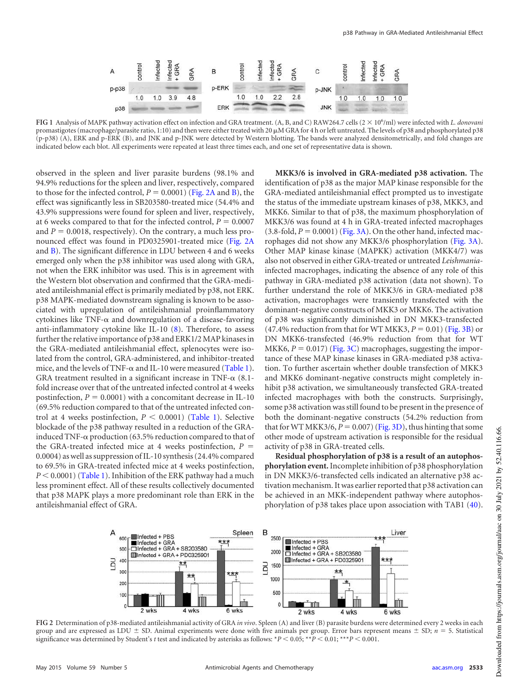

<span id="page-2-0"></span>**FIG 1** Analysis of MAPK pathway activation effect on infection and GRA treatment. (A, B, and C) RAW264.7 cells (2 10<sup>6</sup> /ml) were infected with *L. donovani* promastigotes (macrophage/parasite ratio, 1:10) and then were either treated with 20  $\mu$ M GRA for 4 h or left untreated. The levels of p38 and phosphorylated p38 (p-p38) (A), ERK and p-ERK (B), and JNK and p-JNK were detected by Western blotting. The bands were analyzed densitometrically, and fold changes are indicated below each blot. All experiments were repeated at least three times each, and one set of representative data is shown.

observed in the spleen and liver parasite burdens (98.1% and 94.9% reductions for the spleen and liver, respectively, compared to those for the infected control,  $P = 0.0001$ ) [\(Fig. 2A](#page-2-1) and [B\)](#page-2-1), the effect was significantly less in SB203580-treated mice (54.4% and 43.9% suppressions were found for spleen and liver, respectively, at 6 weeks compared to that for the infected control,  $P = 0.0007$ and  $P = 0.0018$ , respectively). On the contrary, a much less pronounced effect was found in PD0325901-treated mice [\(Fig. 2A](#page-2-1) and [B\)](#page-2-1). The significant difference in LDU between 4 and 6 weeks emerged only when the p38 inhibitor was used along with GRA, not when the ERK inhibitor was used. This is in agreement with the Western blot observation and confirmed that the GRA-mediated antileishmanial effect is primarily mediated by p38, not ERK. p38 MAPK-mediated downstream signaling is known to be associated with upregulation of antileishmanial proinflammatory cytokines like TNF- $\alpha$  and downregulation of a disease-favoring anti-inflammatory cytokine like IL-10 [\(8\)](#page-6-7). Therefore, to assess further the relative importance of p38 and ERK1/2 MAP kinases in the GRA-mediated antileishmanial effect, splenocytes were isolated from the control, GRA-administered, and inhibitor-treated mice, and the levels of TNF- $\alpha$  and IL-10 were measured [\(Table 1\)](#page-3-0). GRA treatment resulted in a significant increase in TNF- $\alpha$  (8.1fold increase over that of the untreated infected control at 4 weeks postinfection,  $P = 0.0001$ ) with a concomitant decrease in IL-10 (69.5% reduction compared to that of the untreated infected control at 4 weeks postinfection,  $P < 0.0001$ ) [\(Table 1\)](#page-3-0). Selective blockade of the p38 pathway resulted in a reduction of the GRAinduced TNF- $\alpha$  production (63.5% reduction compared to that of the GRA-treated infected mice at 4 weeks postinfection, *P* 0.0004) as well as suppression of IL-10 synthesis (24.4% compared to 69.5% in GRA-treated infected mice at 4 weeks postinfection, *P* 0.0001) [\(Table 1\)](#page-3-0). Inhibition of the ERK pathway had a much less prominent effect. All of these results collectively documented that p38 MAPK plays a more predominant role than ERK in the antileishmanial effect of GRA.

**MKK3/6 is involved in GRA-mediated p38 activation.** The identification of p38 as the major MAP kinase responsible for the GRA-mediated antileishmanial effect prompted us to investigate the status of the immediate upstream kinases of p38, MKK3, and MKK6. Similar to that of p38, the maximum phosphorylation of MKK3/6 was found at 4 h in GRA-treated infected macrophages  $(3.8\text{-fold}, P = 0.0001)$  [\(Fig. 3A\)](#page-3-1). On the other hand, infected macrophages did not show any MKK3/6 phosphorylation [\(Fig. 3A\)](#page-3-1). Other MAP kinase kinase (MAPKK) activation (MKK4/7) was also not observed in either GRA-treated or untreated *Leishmania*infected macrophages, indicating the absence of any role of this pathway in GRA-mediated p38 activation (data not shown). To further understand the role of MKK3/6 in GRA-mediated p38 activation, macrophages were transiently transfected with the dominant-negative constructs of MKK3 or MKK6. The activation of p38 was significantly diminished in DN MKK3-transfected  $(47.4\% \text{ reduction from that for WT MKK3}, P = 0.01)$  [\(Fig. 3B\)](#page-3-1) or DN MKK6-transfected (46.9% reduction from that for WT MKK6,  $P = 0.017$ ) [\(Fig. 3C\)](#page-3-1) macrophages, suggesting the importance of these MAP kinase kinases in GRA-mediated p38 activation. To further ascertain whether double transfection of MKK3 and MKK6 dominant-negative constructs might completely inhibit p38 activation, we simultaneously transfected GRA-treated infected macrophages with both the constructs. Surprisingly, some p38 activation was still found to be present in the presence of both the dominant-negative constructs (54.2% reduction from that for WT MKK3/6,  $P = 0.007$  [\(Fig. 3D\)](#page-3-1), thus hinting that some other mode of upstream activation is responsible for the residual activity of p38 in GRA-treated cells.

**Residual phosphorylation of p38 is a result of an autophosphorylation event.**Incomplete inhibition of p38 phosphorylation in DN MKK3/6-transfected cells indicated an alternative p38 activation mechanism. It was earlier reported that p38 activation can be achieved in an MKK-independent pathway where autophosphorylation of p38 takes place upon association with TAB1 [\(40\)](#page-7-27).



<span id="page-2-1"></span>**FIG 2** Determination of p38-mediated antileishmanial activity of GRA *in vivo*. Spleen (A) and liver (B) parasite burdens were determined every 2 weeks in each group and are expressed as LDU  $\pm$  SD. Animal experiments were done with five animals per group. Error bars represent means  $\pm$  SD;  $n = 5$ . Statistical significance was determined by Student's  $t$  test and indicated by asterisks as follows:  $*P < 0.05; **P < 0.01; **P < 0.001$ .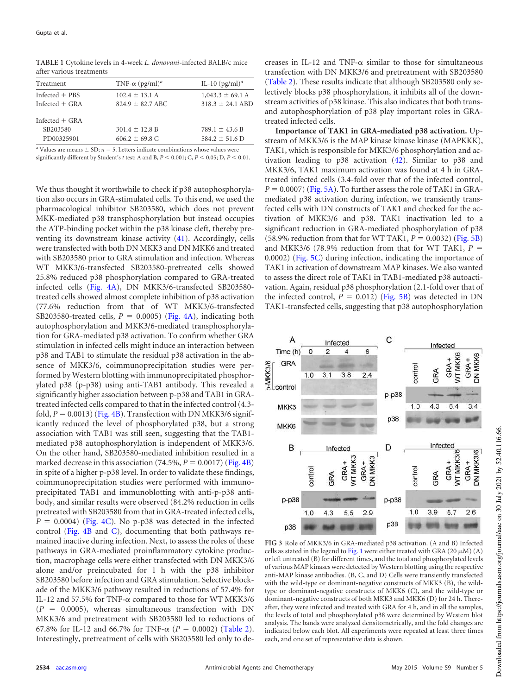| Treatment        | TNF- $\alpha$ (pg/ml) <sup>a</sup> | IL-10 $(pg/ml)^a$    |
|------------------|------------------------------------|----------------------|
| $Infected + PBS$ | $102.4 \pm 13.1$ A                 | $1,043.3 \pm 69.1$ A |
| Infected $+$ GRA | $824.9 \pm 82.7$ ABC               | $318.3 \pm 24.1$ ABD |
| Infected $+$ GRA |                                    |                      |
| SB203580         | $301.4 \pm 12.8$ B                 | $789.1 \pm 43.6 B$   |
| PD00325901       | $606.2 \pm 69.8$ C                 | $584.2 \pm 51.6$ D   |
|                  |                                    |                      |

<span id="page-3-0"></span>**TABLE 1** Cytokine levels in 4-week *L. donovani*-infected BALB/c mice after various treatments

*a* Values are means  $\pm$  SD;  $n = 5$ . Letters indicate combinations whose values were significantly different by Student's *t* test: A and B,  $P < 0.001$ ; C,  $P < 0.05$ ; D,  $P < 0.01$ .

We thus thought it worthwhile to check if p38 autophosphorylation also occurs in GRA-stimulated cells. To this end, we used the pharmacological inhibitor SB203580, which does not prevent MKK-mediated p38 transphosphorylation but instead occupies the ATP-binding pocket within the p38 kinase cleft, thereby preventing its downstream kinase activity [\(41\)](#page-7-28). Accordingly, cells were transfected with both DN MKK3 and DN MKK6 and treated with SB203580 prior to GRA stimulation and infection. Whereas WT MKK3/6-transfected SB203580-pretreated cells showed 25.8% reduced p38 phosphorylation compared to GRA-treated infected cells [\(Fig. 4A\)](#page-4-0), DN MKK3/6-transfected SB203580 treated cells showed almost complete inhibition of p38 activation (77.6% reduction from that of WT MKK3/6-transfected SB203580-treated cells,  $P = 0.0005$ ) [\(Fig. 4A\)](#page-4-0), indicating both autophosphorylation and MKK3/6-mediated transphosphorylation for GRA-mediated p38 activation. To confirm whether GRA stimulation in infected cells might induce an interaction between p38 and TAB1 to stimulate the residual p38 activation in the absence of MKK3/6, coimmunoprecipitation studies were performed by Western blotting with immunoprecipitated phosphorylated p38 (p-p38) using anti-TAB1 antibody. This revealed a significantly higher association between p-p38 and TAB1 in GRAtreated infected cells compared to that in the infected control (4.3 fold,  $P = 0.0013$ ) [\(Fig. 4B\)](#page-4-0). Transfection with DN MKK3/6 significantly reduced the level of phosphorylated p38, but a strong association with TAB1 was still seen, suggesting that the TAB1 mediated p38 autophosphorylation is independent of MKK3/6. On the other hand, SB203580-mediated inhibition resulted in a marked decrease in this association  $(74.5\%, P = 0.0017)$  [\(Fig. 4B\)](#page-4-0) in spite of a higher p-p38 level. In order to validate these findings, coimmunoprecipitation studies were performed with immunoprecipitated TAB1 and immunoblotting with anti-p-p38 antibody, and similar results were observed (84.2% reduction in cells pretreated with SB203580 from that in GRA-treated infected cells,  $P = 0.0004$ ) [\(Fig. 4C\)](#page-4-0). No p-p38 was detected in the infected control [\(Fig. 4B](#page-4-0) and [C\)](#page-4-0), documenting that both pathways remained inactive during infection. Next, to assess the roles of these pathways in GRA-mediated proinflammatory cytokine production, macrophage cells were either transfected with DN MKK3/6 alone and/or preincubated for 1 h with the p38 inhibitor SB203580 before infection and GRA stimulation. Selective blockade of the MKK3/6 pathway resulted in reductions of 57.4% for IL-12 and 57.5% for TNF- $\alpha$  compared to those for WT MKK3/6  $(P = 0.0005)$ , whereas simultaneous transfection with DN MKK3/6 and pretreatment with SB203580 led to reductions of 67.8% for IL-12 and 66.7% for TNF- $\alpha$  ( $P = 0.0002$ ) [\(Table 2\)](#page-4-1). Interestingly, pretreatment of cells with SB203580 led only to decreases in IL-12 and TNF- $\alpha$  similar to those for simultaneous transfection with DN MKK3/6 and pretreatment with SB203580 [\(Table 2\)](#page-4-1). These results indicate that although SB203580 only selectively blocks p38 phosphorylation, it inhibits all of the downstream activities of p38 kinase. This also indicates that both transand autophosphorylation of p38 play important roles in GRAtreated infected cells.

**Importance of TAK1 in GRA-mediated p38 activation.** Upstream of MKK3/6 is the MAP kinase kinase kinase (MAPKKK), TAK1, which is responsible for MKK3/6 phosphorylation and activation leading to p38 activation [\(42\)](#page-7-29). Similar to p38 and MKK3/6, TAK1 maximum activation was found at 4 h in GRAtreated infected cells (3.4-fold over that of the infected control,  $P = 0.0007$  [\(Fig. 5A\)](#page-4-2). To further assess the role of TAK1 in GRAmediated p38 activation during infection, we transiently transfected cells with DN constructs of TAK1 and checked for the activation of MKK3/6 and p38. TAK1 inactivation led to a significant reduction in GRA-mediated phosphorylation of p38  $(58.9\% \text{ reduction from that for WT TAK1}, P = 0.0032)$  [\(Fig. 5B\)](#page-4-2) and MKK3/6 (78.9% reduction from that for WT TAK1,  $P =$ 0.0002) [\(Fig. 5C\)](#page-4-2) during infection, indicating the importance of TAK1 in activation of downstream MAP kinases. We also wanted to assess the direct role of TAK1 in TAB1-mediated p38 autoactivation. Again, residual p38 phosphorylation (2.1-fold over that of the infected control,  $P = 0.012$ ) [\(Fig. 5B\)](#page-4-2) was detected in DN TAK1-transfected cells, suggesting that p38 autophosphorylation



<span id="page-3-1"></span>**FIG 3** Role of MKK3/6 in GRA-mediated p38 activation. (A and B) Infected cells as stated in the legend to [Fig. 1](#page-2-0) were either treated with GRA (20  $\mu$ M) (A) or left untreated (B) for different times, and the total and phosphorylated levels of various MAP kinases were detected by Western blotting using the respective anti-MAP kinase antibodies. (B, C, and D) Cells were transiently transfected with the wild-type or dominant-negative constructs of MKK3 (B), the wildtype or dominant-negative constructs of MKK6 (C), and the wild-type or dominant-negative constructs of both MKK3 and MKK6 (D) for 24 h. Thereafter, they were infected and treated with GRA for 4 h, and in all the samples, the levels of total and phosphorylated p38 were determined by Western blot analysis. The bands were analyzed densitometrically, and the fold changes are indicated below each blot. All experiments were repeated at least three times each, and one set of representative data is shown.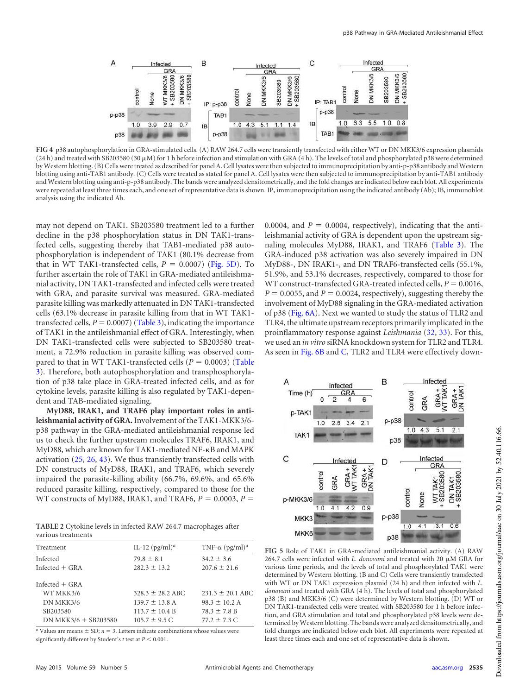

<span id="page-4-0"></span>**FIG 4** p38 autophosphorylation in GRA-stimulated cells. (A) RAW 264.7 cells were transiently transfected with either WT or DN MKK3/6 expression plasmids  $(24 h)$  and treated with SB203580 (30  $\mu$ M) for 1 h before infection and stimulation with GRA (4 h). The levels of total and phosphorylated p38 were determined by Western blotting. (B) Cells were treated as described for panel A. Cell lysates were then subjected to immunoprecipitation by anti-p-p38 antibody and Western blotting using anti-TAB1 antibody. (C) Cells were treated as stated for panel A. Cell lysates were then subjected to immunoprecipitation by anti-TAB1 antibody and Western blotting using anti-p-p38 antibody. The bands were analyzed densitometrically, and the fold changes are indicated below each blot. All experiments were repeated at least three times each, and one set of representative data is shown. IP, immunoprecipitation using the indicated antibody (Ab); IB, immunoblot analysis using the indicated Ab.

may not depend on TAK1. SB203580 treatment led to a further decline in the p38 phosphorylation status in DN TAK1-transfected cells, suggesting thereby that TAB1-mediated p38 autophosphorylation is independent of TAK1 (80.1% decrease from that in WT TAK1-transfected cells,  $P = 0.0007$ ) [\(Fig. 5D\)](#page-4-2). To further ascertain the role of TAK1 in GRA-mediated antileishmanial activity, DN TAK1-transfected and infected cells were treated with GRA, and parasite survival was measured. GRA-mediated parasite killing was markedly attenuated in DN TAK1-transfected cells (63.1% decrease in parasite killing from that in WT TAK1 transfected cells,  $P = 0.0007$  [\(Table 3\)](#page-5-0), indicating the importance of TAK1 in the antileishmanial effect of GRA. Interestingly, when DN TAK1-transfected cells were subjected to SB203580 treatment, a 72.9% reduction in parasite killing was observed compared to that in WT TAK1-transfected cells ( $P = 0.0003$ ) [\(Table](#page-5-0) [3\)](#page-5-0). Therefore, both autophosphorylation and transphosphorylation of p38 take place in GRA-treated infected cells, and as for cytokine levels, parasite killing is also regulated by TAK1-dependent and TAB-mediated signaling.

**MyD88, IRAK1, and TRAF6 play important roles in antileishmanial activity of GRA.**Involvement of the TAK1-MKK3/6 p38 pathway in the GRA-mediated antileishmanial response led us to check the further upstream molecules TRAF6, IRAK1, and MyD88, which are known for TAK1-mediated NF-KB and MAPK activation [\(25,](#page-7-12) [26,](#page-7-13) [43\)](#page-7-30). We thus transiently transfected cells with DN constructs of MyD88, IRAK1, and TRAF6, which severely impaired the parasite-killing ability (66.7%, 69.6%, and 65.6% reduced parasite killing, respectively, compared to those for the WT constructs of MyD88, IRAK1, and TRAF6,  $P = 0.0003$ ,  $P =$ 

<span id="page-4-1"></span>**TABLE 2** Cytokine levels in infected RAW 264.7 macrophages after various treatments

| Treatment              | IL-12 $(pg/ml)^a$    | TNF- $\alpha$ (pg/ml) <sup>a</sup> |
|------------------------|----------------------|------------------------------------|
| Infected               | $79.8 \pm 8.1$       | $34.2 \pm 3.6$                     |
| Infected $+$ GRA       | $282.3 \pm 13.2$     | $207.6 \pm 21.6$                   |
| Infected $+$ GRA       |                      |                                    |
| WT MKK3/6              | $328.3 \pm 28.2$ ABC | $231.3 \pm 20.1$ ABC               |
| DN MKK3/6              | $139.7 \pm 13.8$ A   | $98.3 \pm 10.2$ A                  |
| SB203580               | $113.7 \pm 10.4 B$   | $78.3 \pm 7.8$ B                   |
| $DN$ MKK3/6 + SB203580 | $105.7 \pm 9.5$ C    | $77.2 \pm 7.3$ C                   |

<sup>*a*</sup> Values are means  $\pm$  SD;  $n = 3$ . Letters indicate combinations whose values were significantly different by Student's  $t$  test at  $P \leq 0.001$ .

0.0004, and  $P = 0.0004$ , respectively), indicating that the antileishmanial activity of GRA is dependent upon the upstream signaling molecules MyD88, IRAK1, and TRAF6 [\(Table 3\)](#page-5-0). The GRA-induced p38 activation was also severely impaired in DN MyD88-, DN IRAK1-, and DN TRAF6-transfected cells (55.1%, 51.9%, and 53.1% decreases, respectively, compared to those for WT construct-transfected GRA-treated infected cells,  $P = 0.0016$ ,  $P = 0.0055$ , and  $P = 0.0024$ , respectively), suggesting thereby the involvement of MyD88 signaling in the GRA-mediated activation of p38 [\(Fig. 6A\)](#page-5-1). Next we wanted to study the status of TLR2 and TLR4, the ultimate upstream receptors primarily implicated in the proinflammatory response against *Leishmania* [\(32,](#page-7-19) [33\)](#page-7-20). For this, we used an *in vitro* siRNA knockdown system for TLR2 and TLR4. As seen in [Fig. 6B](#page-5-1) and [C,](#page-5-1) TLR2 and TLR4 were effectively down-



<span id="page-4-2"></span>**FIG 5** Role of TAK1 in GRA-mediated antileishmanial activity. (A) RAW 264.7 cells were infected with *L. donovani* and treated with 20  $\mu$ M GRA for various time periods, and the levels of total and phosphorylated TAK1 were determined by Western blotting. (B and C) Cells were transiently transfected with WT or DN TAK1 expression plasmid (24 h) and then infected with *L. donovani* and treated with GRA (4 h). The levels of total and phosphorylated p38 (B) and MKK3/6 (C) were determined by Western blotting. (D) WT or DN TAK1-transfected cells were treated with SB203580 for 1 h before infection, and GRA stimulation and total and phosphorylated p38 levels were determined by Western blotting. The bands were analyzed densitometrically, and fold changes are indicated below each blot. All experiments were repeated at least three times each and one set of representative data is shown.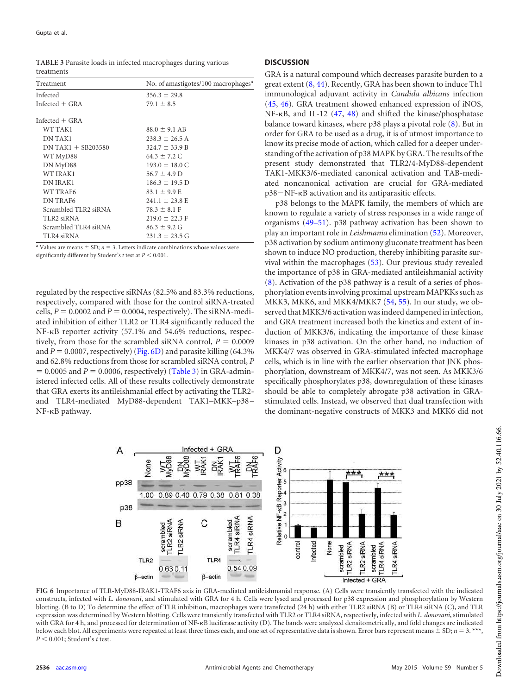<span id="page-5-0"></span>

| TABLE 3 Parasite loads in infected macrophages during various |  |
|---------------------------------------------------------------|--|
| treatments                                                    |  |

| Treatment              | No. of amastigotes/100 macrophages <sup>a</sup> |
|------------------------|-------------------------------------------------|
| Infected               | $356.3 \pm 29.8$                                |
| Infected $+$ GRA       | $79.1 \pm 8.5$                                  |
| Infected $+$ GRA       |                                                 |
| WT TAK1                | $88.0 \pm 9.1$ AB                               |
| <b>DN TAK1</b>         | $238.3 \pm 26.5$ A                              |
| $DN$ TAK1 $+$ SB203580 | $324.7 \pm 33.9$ B                              |
| WT MyD88               | $64.3 \pm 7.2$ C                                |
| DN MyD88               | $193.0 \pm 18.0 \text{ C}$                      |
| WT IRAK1               | $56.7 \pm 4.9$ D                                |
| <b>DN IRAK1</b>        | $186.3 \pm 19.5$ D                              |
| WT TRAF6               | $83.1 \pm 9.9$ E                                |
| <b>DN TRAF6</b>        | $241.1 \pm 23.8$ E                              |
| Scrambled TLR2 siRNA   | $78.3 \pm 8.1$ F                                |
| TLR2 siRNA             | $219.0 \pm 22.3 \text{ F}$                      |
| Scrambled TLR4 siRNA   | $86.3 \pm 9.2$ G                                |
| TLR4 siRNA             | $231.3 \pm 23.5$ G                              |

 $a$  Values are means  $\pm$  SD;  $n = 3$ . Letters indicate combinations whose values were significantly different by Student's  $t$  test at  $P \leq 0.001$ .

regulated by the respective siRNAs (82.5% and 83.3% reductions, respectively, compared with those for the control siRNA-treated cells,  $P = 0.0002$  and  $P = 0.0004$ , respectively). The siRNA-mediated inhibition of either TLR2 or TLR4 significantly reduced the  $NF-\kappa B$  reporter activity (57.1% and 54.6% reductions, respectively, from those for the scrambled siRNA control,  $P = 0.0009$ and  $P = 0.0007$ , respectively) [\(Fig. 6D\)](#page-5-1) and parasite killing (64.3%) and 62.8% reductions from those for scrambled siRNA control, *P*  $= 0.0005$  and  $P = 0.0006$ , respectively) [\(Table 3\)](#page-5-0) in GRA-administered infected cells. All of these results collectively demonstrate that GRA exerts its antileishmanial effect by activating the TLR2 and TLR4-mediated MyD88-dependent TAK1–MKK–p38 – NF- $\kappa$ B pathway.

#### **DISCUSSION**

GRA is a natural compound which decreases parasite burden to a great extent [\(8,](#page-6-7) [44\)](#page-7-31). Recently, GRA has been shown to induce Th1 immunological adjuvant activity in *Candida albicans* infection [\(45,](#page-7-32) [46\)](#page-7-33). GRA treatment showed enhanced expression of iNOS, NF- $\kappa$ B, and IL-12 [\(47,](#page-7-34) [48\)](#page-7-35) and shifted the kinase/phosphatase balance toward kinases, where p38 plays a pivotal role [\(8\)](#page-6-7). But in order for GRA to be used as a drug, it is of utmost importance to know its precise mode of action, which called for a deeper understanding of the activation of p38 MAPK by GRA. The results of the present study demonstrated that TLR2/4-MyD88-dependent TAK1-MKK3/6-mediated canonical activation and TAB-mediated noncanonical activation are crucial for GRA-mediated p38 – NF- $\kappa$ B activation and its antiparasitic effects.

p38 belongs to the MAPK family, the members of which are known to regulate a variety of stress responses in a wide range of organisms [\(49](#page-7-36)[–](#page-8-0)[51\)](#page-8-1). p38 pathway activation has been shown to play an important role in *Leishmania* elimination [\(52\)](#page-8-2). Moreover, p38 activation by sodium antimony gluconate treatment has been shown to induce NO production, thereby inhibiting parasite survival within the macrophages [\(53\)](#page-8-3). Our previous study revealed the importance of p38 in GRA-mediated antileishmanial activity [\(8\)](#page-6-7). Activation of the p38 pathway is a result of a series of phosphorylation events involving proximal upstream MAPKKs such as MKK3, MKK6, and MKK4/MKK7 [\(54,](#page-8-4) [55\)](#page-8-5). In our study, we observed that MKK3/6 activation was indeed dampened in infection, and GRA treatment increased both the kinetics and extent of induction of MKK3/6, indicating the importance of these kinase kinases in p38 activation. On the other hand, no induction of MKK4/7 was observed in GRA-stimulated infected macrophage cells, which is in line with the earlier observation that JNK phosphorylation, downstream of MKK4/7, was not seen. As MKK3/6 specifically phosphorylates p38, downregulation of these kinases should be able to completely abrogate p38 activation in GRAstimulated cells. Instead, we observed that dual transfection with the dominant-negative constructs of MKK3 and MKK6 did not



<span id="page-5-1"></span>**FIG 6** Importance of TLR-MyD88-IRAK1-TRAF6 axis in GRA-mediated antileishmanial response. (A) Cells were transiently transfected with the indicated constructs, infected with *L. donovani*, and stimulated with GRA for 4 h. Cells were lysed and processed for p38 expression and phosphorylation by Western blotting. (B to D) To determine the effect of TLR inhibition, macrophages were transfected (24 h) with either TLR2 siRNA (B) or TLR4 siRNA (C), and TLR expression was determined by Western blotting. Cells were transiently transfected with TLR2 or TLR4 siRNA, respectively, infected with *L. donovani*, stimulated with GRA for 4 h, and processed for determination of NF-KB luciferase activity (D). The bands were analyzed densitometrically, and fold changes are indicated below each blot. All experiments were repeated at least three times each, and one set of representative data is shown. Error bars represent means  $\pm$  SD;  $n = 3$ . *P* 0.001; Student's *t* test.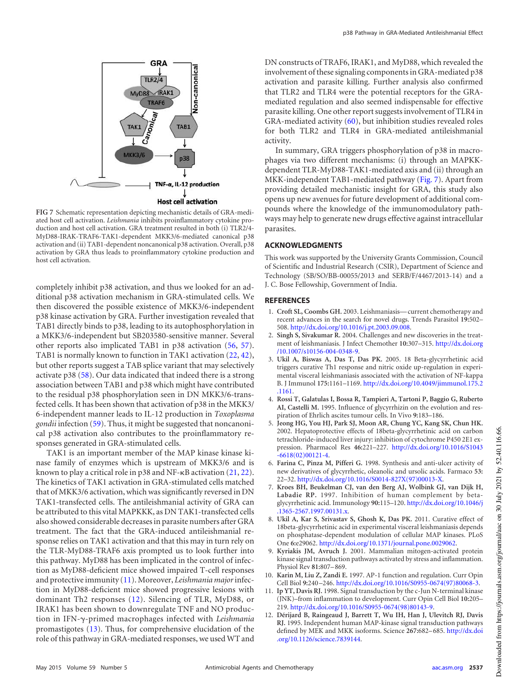

<span id="page-6-12"></span>**FIG 7** Schematic representation depicting mechanistic details of GRA-mediated host cell activation. *Leishmania* inhibits proinflammatory cytokine production and host cell activation. GRA treatment resulted in both (i) TLR2/4- MyD88-IRAK-TRAF6-TAK1-dependent MKK3/6-mediated canonical p38 activation and (ii) TAB1-dependent noncanonical p38 activation. Overall, p38 activation by GRA thus leads to proinflammatory cytokine production and host cell activation.

completely inhibit p38 activation, and thus we looked for an additional p38 activation mechanism in GRA-stimulated cells. We then discovered the possible existence of MKK3/6-independent p38 kinase activation by GRA. Further investigation revealed that TAB1 directly binds to p38, leading to its autophosphorylation in a MKK3/6-independent but SB203580-sensitive manner. Several other reports also implicated TAB1 in p38 activation [\(56,](#page-8-6) [57\)](#page-8-7). TAB1 is normally known to function in TAK1 activation [\(22,](#page-7-9) [42\)](#page-7-29), but other reports suggest a TAB splice variant that may selectively activate p38 [\(58\)](#page-8-8). Our data indicated that indeed there is a strong association between TAB1 and p38 which might have contributed to the residual p38 phosphorylation seen in DN MKK3/6-transfected cells. It has been shown that activation of p38 in the MKK3/ 6-independent manner leads to IL-12 production in *Toxoplasma gondii* infection [\(59\)](#page-8-9). Thus, it might be suggested that noncanonical p38 activation also contributes to the proinflammatory responses generated in GRA-stimulated cells.

TAK1 is an important member of the MAP kinase kinase kinase family of enzymes which is upstream of MKK3/6 and is known to play a critical role in  $p38$  and NF- $\kappa$ B activation [\(21,](#page-7-8) [22\)](#page-7-9). The kinetics of TAK1 activation in GRA-stimulated cells matched that of MKK3/6 activation, which was significantly reversed in DN TAK1-transfected cells. The antileishmanial activity of GRA can be attributed to this vital MAPKKK, as DN TAK1-transfected cells also showed considerable decreases in parasite numbers after GRA treatment. The fact that the GRA-induced antileishmanial response relies on TAK1 activation and that this may in turn rely on the TLR-MyD88-TRAF6 axis prompted us to look further into this pathway. MyD88 has been implicated in the control of infection as MyD88-deficient mice showed impaired T-cell responses and protective immunity [\(11\)](#page-6-10). Moreover, *Leishmania major*infection in MyD88-deficient mice showed progressive lesions with dominant Th2 responses [\(12\)](#page-6-11). Silencing of TLR, MyD88, or IRAK1 has been shown to downregulate TNF and NO production in IFN--primed macrophages infected with *Leishmania* promastigotes [\(13\)](#page-7-0). Thus, for comprehensive elucidation of the role of this pathway in GRA-mediated responses, we used WT and

DN constructs of TRAF6, IRAK1, and MyD88, which revealed the involvement of these signaling components in GRA-mediated p38 activation and parasite killing. Further analysis also confirmed that TLR2 and TLR4 were the potential receptors for the GRAmediated regulation and also seemed indispensable for effective parasite killing. One other report suggests involvement of TLR4 in GRA-mediated activity [\(60\)](#page-8-10), but inhibition studies revealed roles for both TLR2 and TLR4 in GRA-mediated antileishmanial activity.

In summary, GRA triggers phosphorylation of p38 in macrophages via two different mechanisms: (i) through an MAPKKdependent TLR-MyD88-TAK1-mediated axis and (ii) through an MKK-independent TAB1-mediated pathway [\(Fig. 7\)](#page-6-12). Apart from providing detailed mechanistic insight for GRA, this study also opens up new avenues for future development of additional compounds where the knowledge of the immunomodulatory pathways may help to generate new drugs effective against intracellular parasites.

# **ACKNOWLEDGMENTS**

This work was supported by the University Grants Commission, Council of Scientific and Industrial Research (CSIR), Department of Science and Technology (SB/SO/BB-00055/2013 and SERB/F/4467/2013-14) and a J. C. Bose Fellowship, Government of India.

### <span id="page-6-0"></span>**REFERENCES**

- 1. **Croft SL, Coombs GH.** 2003. Leishmaniasis— current chemotherapy and recent advances in the search for novel drugs. Trends Parasitol **19:**502– 508. http://dx.doi.org/10.1016/j.pt.2003.09.008.
- <span id="page-6-1"></span>2. **Singh S, Sivakumar R.** 2004. Challenges and new discoveries in the treatment of leishmaniasis. J Infect Chemother **10:**307–315. http://dx.doi.org /10.1007/s10156-004-0348-9.
- <span id="page-6-2"></span>3. **Ukil A, Biswas A, Das T, Das PK.** 2005. 18 Beta-glycyrrhetinic acid triggers curative Th1 response and nitric oxide up-regulation in experimental visceral leishmaniasis associated with the activation of NF-kappa B. J Immunol **175:**1161–1169. http://dx.doi.org/10.4049/jimmunol.175.2 .1161.
- <span id="page-6-3"></span>4. **Rossi T, Galatulas I, Bossa R, Tampieri A, Tartoni P, Baggio G, Ruberto AI, Castelli M.** 1995. Influence of glycyrrhizin on the evolution and respiration of Ehrlich ascites tumour cells. In Vivo **9:**183–186.
- <span id="page-6-4"></span>5. **Jeong HG, You HJ, Park SJ, Moon AR, Chung YC, Kang SK, Chun HK.** 2002. Hepatoprotective effects of 18beta-glycyrrhetinic acid on carbon tetrachloride-induced liver injury: inhibition of cytochrome P450 2E1 expression. Pharmacol Res **46:**221–227. http://dx.doi.org/10.1016/S1043 -6618(02)00121-4.
- <span id="page-6-6"></span><span id="page-6-5"></span>6. **Farina C, Pinza M, Pifferi G.** 1998. Synthesis and anti-ulcer activity of new derivatives of glycyrrhetic, oleanolic and ursolic acids. Farmaco **53:** 22–32. http://dx.doi.org/10.1016/S0014-827X(97)00013-X.
- 7. **Kroes BH, Beukelman CJ, van den Berg AJ, Wolbink GJ, van Dijk H, Labadie RP.** 1997. Inhibition of human complement by betaglycyrrhetinic acid. Immunology **90:**115–120. http://dx.doi.org/10.1046/j .1365-2567.1997.00131.x.
- <span id="page-6-7"></span>8. **Ukil A, Kar S, Srivastav S, Ghosh K, Das PK.** 2011. Curative effect of 18beta-glycyrrhetinic acid in experimental visceral leishmaniasis depends on phosphatase-dependent modulation of cellular MAP kinases. PLoS One **6:**e29062. http://dx.doi.org/10.1371/journal.pone.0029062.
- <span id="page-6-8"></span>9. **Kyriakis JM, Avruch J.** 2001. Mammalian mitogen-activated protein kinase signal transduction pathways activated by stress and inflammation. Physiol Rev **81:**807– 869.
- <span id="page-6-10"></span><span id="page-6-9"></span>10. **Karin M, Liu Z, Zandi E.** 1997. AP-1 function and regulation. Curr Opin Cell Biol **9:**240 –246. http://dx.doi.org/10.1016/S0955-0674(97)80068-3.
- <span id="page-6-11"></span>11. **Ip YT, Davis RJ.** 1998. Signal transduction by the c-Jun N-terminal kinase (JNK)–from inflammation to development. Curr Opin Cell Biol **10:**205– 219. http://dx.doi.org/10.1016/S0955-0674(98)80143-9.
- 12. **Dérijard B, Raingeaud J, Barrett T, Wu IH, Han J, Ulevitch RJ, Davis RJ.** 1995. Independent human MAP-kinase signal transduction pathways defined by MEK and MKK isoforms. Science **267:**682– 685. http://dx.doi .org/10.1126/science.7839144.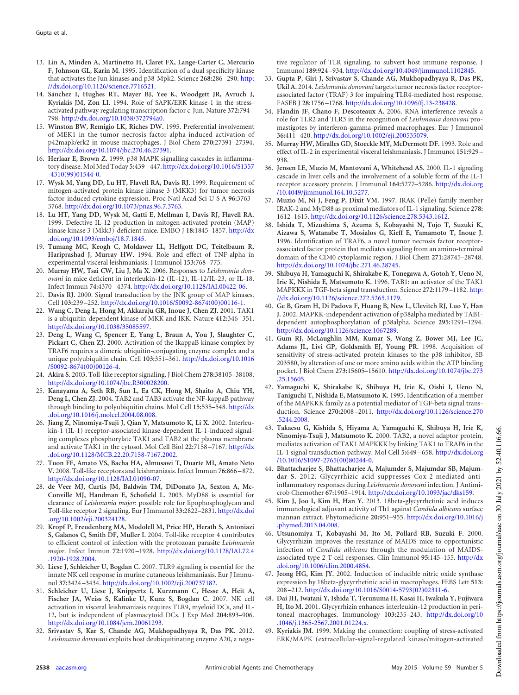- <span id="page-7-0"></span>13. **Lin A, Minden A, Martinetto H, Claret FX, Lange-Carter C, Mercurio F, Johnson GL, Karin M.** 1995. Identification of a dual specificity kinase that activates the Jun kinases and p38-Mpk2. Science **268:**286 –290. http: //dx.doi.org/10.1126/science.7716521.
- <span id="page-7-1"></span>14. **Sánchez I, Hughes RT, Mayer BJ, Yee K, Woodgett JR, Avruch J, Kyriakis JM, Zon LI.** 1994. Role of SAPK/ERK kinase-1 in the stressactivated pathway regulating transcription factor c-Jun. Nature **372:**794 – 798. http://dx.doi.org/10.1038/372794a0.
- <span id="page-7-2"></span>15. **Winston BW, Remigio LK, Riches DW.** 1995. Preferential involvement of MEK1 in the tumor necrosis factor-alpha-induced activation of p42mapk/erk2 in mouse macrophages. J Biol Chem **270:**27391–27394. http://dx.doi.org/10.1074/jbc.270.46.27391.
- <span id="page-7-3"></span>16. **Herlaar E, Brown Z.** 1999. p38 MAPK signalling cascades in inflammatory disease. Mol Med Today **5:**439 – 447. http://dx.doi.org/10.1016/S1357 -4310(99)01544-0.
- <span id="page-7-4"></span>17. **Wysk M, Yang DD, Lu HT, Flavell RA, Davis RJ.** 1999. Requirement of mitogen-activated protein kinase kinase 3 (MKK3) for tumor necrosis factor-induced cytokine expression. Proc Natl Acad Sci U S A 96:3763-3768. http://dx.doi.org/10.1073/pnas.96.7.3763.
- <span id="page-7-5"></span>18. **Lu HT, Yang DD, Wysk M, Gatti E, Mellman I, Davis RJ, Flavell RA.** 1999. Defective IL-12 production in mitogen-activated protein (MAP) kinase kinase 3 (Mkk3)-deficient mice. EMBO J **18:**1845–1857. http://dx .doi.org/10.1093/emboj/18.7.1845.
- <span id="page-7-6"></span>19. **Tumang MC, Keogh C, Moldawer LL, Helfgott DC, Teitelbaum R, Hariprashad J, Murray HW.** 1994. Role and effect of TNF-alpha in experimental visceral leishmaniasis. J Immunol **153:**768 –775.
- <span id="page-7-7"></span>20. **Murray HW, Tsai CW, Liu J, Ma X.** 2006. Responses to *Leishmania donovani* in mice deficient in interleukin-12 (IL-12), IL-12/IL-23, or IL-18. Infect Immun **74:**4370 – 4374. http://dx.doi.org/10.1128/IAI.00422-06.
- <span id="page-7-9"></span><span id="page-7-8"></span>21. **Davis RJ.** 2000. Signal transduction by the JNK group of MAP kinases. Cell **103:**239 –252. http://dx.doi.org/10.1016/S0092-8674(00)00116-1.
- 22. **Wang C, Deng L, Hong M, Akkaraju GR, Inoue J, Chen ZJ.** 2001. TAK1 is a ubiquitin-dependent kinase of MKK and IKK. Nature **412:**346 –351. http://dx.doi.org/10.1038/35085597.
- <span id="page-7-10"></span>23. **Deng L, Wang C, Spencer E, Yang L, Braun A, You J, Slaughter C, Pickart C, Chen ZJ.** 2000. Activation of the IkappaB kinase complex by TRAF6 requires a dimeric ubiquitin-conjugating enzyme complex and a unique polyubiquitin chain. Cell **103:**351–361. http://dx.doi.org/10.1016 /S0092-8674(00)00126-4.
- <span id="page-7-12"></span><span id="page-7-11"></span>24. **Akira S.** 2003. Toll-like receptor signaling. J Biol Chem **278:**38105–38108. http://dx.doi.org/10.1074/jbc.R300028200.
- 25. **Kanayama A, Seth RB, Sun L, Ea CK, Hong M, Shaito A, Chiu YH, Deng L, Chen ZJ.** 2004. TAB2 and TAB3 activate the NF-kappaB pathway through binding to polyubiquitin chains. Mol Cell **15:**535–548. http://dx .doi.org/10.1016/j.molcel.2004.08.008.
- <span id="page-7-13"></span>26. **Jiang Z, Ninomiya-Tsuji J, Qian Y, Matsumoto K, Li X.** 2002. Interleukin-1 (IL-1) receptor-associated kinase-dependent IL-1-induced signaling complexes phosphorylate TAK1 and TAB2 at the plasma membrane and activate TAK1 in the cytosol. Mol Cell Biol **22:**7158 –7167. http://dx .doi.org/10.1128/MCB.22.20.7158-7167.2002.
- <span id="page-7-15"></span><span id="page-7-14"></span>27. **Tuon FF, Amato VS, Bacha HA, Almusawi T, Duarte MI, Amato Neto V.** 2008. Toll-like receptors and leishmaniasis. Infect Immun **76:**866 – 872. http://dx.doi.org/10.1128/IAI.01090-07.
- 28. **de Veer MJ, Curtis JM, Baldwin TM, DiDonato JA, Sexton A, Mc-Conville MJ, Handman E, Schofield L.** 2003. MyD88 is essential for clearance of *Leishmania major*: possible role for lipophosphoglycan and Toll-like receptor 2 signaling. Eur J Immunol **33:**2822–2831. http://dx.doi .org/10.1002/eji.200324128.
- <span id="page-7-16"></span>29. **Kropf P, Freudenberg MA, Modolell M, Price HP, Herath S, Antoniazi S, Galanos C, Smith DF, Muller I.** 2004. Toll-like receptor 4 contributes to efficient control of infection with the protozoan parasite *Leishmania major*. Infect Immun **72:**1920 –1928. http://dx.doi.org/10.1128/IAI.72.4 .1920-1928.2004.
- <span id="page-7-18"></span><span id="page-7-17"></span>30. **Liese J, Schleicher U, Bogdan C.** 2007. TLR9 signaling is essential for the innate NK cell response in murine cutaneous leishmaniasis. Eur J Immunol **37:**3424 –3434. http://dx.doi.org/10.1002/eji.200737182.
- 31. **Schleicher U, Liese J, Knippertz I, Kurzmann C, Hesse A, Heit A, Fischer JA, Weiss S, Kalinke U, Kunz S, Bogdan C.** 2007. NK cell activation in visceral leishmaniasis requires TLR9, myeloid DCs, and IL-12, but is independent of plasmacytoid DCs. J Exp Med **204:**893–906. http://dx.doi.org/10.1084/jem.20061293.
- <span id="page-7-19"></span>32. **Srivastav S, Kar S, Chande AG, Mukhopadhyaya R, Das PK.** 2012. *Leishmania donovani* exploits host deubiquitinating enzyme A20, a nega-

tive regulator of TLR signaling, to subvert host immune response. J Immunol **189:**924 –934. http://dx.doi.org/10.4049/jimmunol.1102845.

- <span id="page-7-20"></span>33. **Gupta P, Giri J, Srivastav S, Chande AG, Mukhopadhyaya R, Das PK, Ukil A.** 2014. *Leishmania donovani* targets tumor necrosis factor receptorassociated factor (TRAF) 3 for impairing TLR4-mediated host response. FASEB J **28:**1756 –1768. http://dx.doi.org/10.1096/fj.13-238428.
- <span id="page-7-21"></span>34. **Flandin JF, Chano F, Descoteaux A.** 2006. RNA interference reveals a role for TLR2 and TLR3 in the recognition of *Leishmania donovani* promastigotes by interferon-gamma-primed macrophages. Eur J Immunol **36:**411– 420. http://dx.doi.org/10.1002/eji.200535079.
- <span id="page-7-22"></span>35. **Murray HW, Miralles GD, Stoeckle MY, McDermott DF.** 1993. Role and effect of IL-2 in experimental visceral leishmaniasis. J Immunol **151:**929 – 938.
- <span id="page-7-23"></span>36. **Jensen LE, Muzio M, Mantovani A, Whitehead AS.** 2000. IL-1 signaling cascade in liver cells and the involvement of a soluble form of the IL-1 receptor accessory protein. J Immunol **164:**5277–5286. http://dx.doi.org /10.4049/jimmunol.164.10.5277.
- <span id="page-7-24"></span>37. **Muzio M, Ni J, Feng P, Dixit VM.** 1997. IRAK (Pelle) family member IRAK-2 and MyD88 as proximal mediators of IL-1 signaling. Science **278:** 1612–1615. http://dx.doi.org/10.1126/science.278.5343.1612.
- <span id="page-7-25"></span>38. **Ishida T, Mizushima S, Azuma S, Kobayashi N, Tojo T, Suzuki K, Aizawa S, Watanabe T, Mosialos G, Kieff E, Yamamoto T, Inoue J.** 1996. Identification of TRAF6, a novel tumor necrosis factor receptorassociated factor protein that mediates signaling from an amino-terminal domain of the CD40 cytoplasmic region. J Biol Chem **271:**28745–28748. http://dx.doi.org/10.1074/jbc.271.46.28745.
- <span id="page-7-26"></span>39. **Shibuya H, Yamaguchi K, Shirakabe K, Tonegawa A, Gotoh Y, Ueno N, Irie K, Nishida E, Matsumoto K.** 1996. TAB1: an activator of the TAK1 MAPKKK in TGF-beta signal transduction. Science **272:**1179 –1182. http: //dx.doi.org/10.1126/science.272.5265.1179.
- <span id="page-7-27"></span>40. **Ge B, Gram H, Di Padova F, Huang B, New L, Ulevitch RJ, Luo Y, Han J.** 2002. MAPKK-independent activation of p38alpha mediated by TAB1 dependent autophosphorylation of p38alpha. Science **295:**1291–1294. http://dx.doi.org/10.1126/science.1067289.
- <span id="page-7-28"></span>41. **Gum RJ, McLaughlin MM, Kumar S, Wang Z, Bower MJ, Lee JC, Adams JL, Livi GP, Goldsmith EJ, Young PR.** 1998. Acquisition of sensitivity of stress-activated protein kinases to the p38 inhibitor, SB 203580, by alteration of one or more amino acids within the ATP binding pocket. J Biol Chem **273:**15605–15610. http://dx.doi.org/10.1074/jbc.273 .25.15605.
- <span id="page-7-29"></span>42. **Yamaguchi K, Shirakabe K, Shibuya H, Irie K, Oishi I, Ueno N, Taniguchi T, Nishida E, Matsumoto K.** 1995. Identification of a member of the MAPKKK family as a potential mediator of TGF-beta signal transduction. Science **270:**2008 –2011. http://dx.doi.org/10.1126/science.270 .5244.2008.
- <span id="page-7-30"></span>43. **Takaesu G, Kishida S, Hiyama A, Yamaguchi K, Shibuya H, Irie K, Ninomiya-Tsuji J, Matsumoto K.** 2000. TAB2, a novel adaptor protein, mediates activation of TAK1 MAPKKK by linking TAK1 to TRAF6 in the IL-1 signal transduction pathway. Mol Cell **5:**649 – 658. http://dx.doi.org /10.1016/S1097-2765(00)80244-0.
- <span id="page-7-31"></span>44. **Bhattacharjee S, Bhattacharjee A, Majumder S, Majumdar SB, Majumdar S.** 2012. Glycyrrhizic acid suppresses Cox-2-mediated antiinflammatory responses during *Leishmania donovani* infection. J Antimicrob Chemother **67:**1905–1914. http://dx.doi.org/10.1093/jac/dks159.
- <span id="page-7-32"></span>45. **Kim J, Joo I, Kim H, Han Y.** 2013. 18beta-glycyrrhetinic acid induces immunological adjuvant activity of Th1 against *Candida albicans* surface mannan extract. Phytomedicine **20:**951–955. http://dx.doi.org/10.1016/j .phymed.2013.04.008.
- <span id="page-7-33"></span>46. **Utsunomiya T, Kobayashi M, Ito M, Pollard RB, Suzuki F.** 2000. Glycyrrhizin improves the resistance of MAIDS mice to opportunistic infection of *Candida albicans* through the modulation of MAIDSassociated type 2 T cell responses. Clin Immunol **95:**145–155. http://dx .doi.org/10.1006/clim.2000.4854.
- <span id="page-7-35"></span><span id="page-7-34"></span>47. **Jeong HG, Kim JY.** 2002. Induction of inducible nitric oxide synthase expression by 18beta-glycyrrhetinic acid in macrophages. FEBS Lett **513:** 208 –212. http://dx.doi.org/10.1016/S0014-5793(02)02311-6.
- 48. **Dai JH, Iwatani Y, Ishida T, Terunuma H, Kasai H, Iwakula Y, Fujiwara H, Ito M.** 2001. Glycyrrhizin enhances interleukin-12 production in peritoneal macrophages. Immunology **103:**235–243. http://dx.doi.org/10 .1046/j.1365-2567.2001.01224.x.
- <span id="page-7-36"></span>49. **Kyriakis JM.** 1999. Making the connection: coupling of stress-activated ERK/MAPK (extracellular-signal-regulated kinase/mitogen-activated